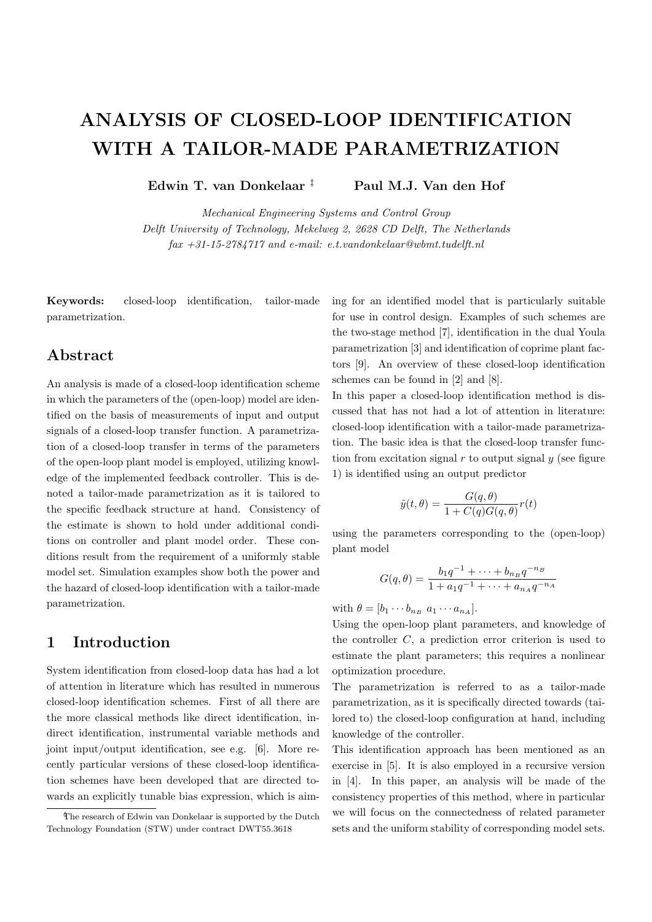# **ANALYSIS OF CLOSED-LOOP IDENTIFICATION WITH A TAILOR-MADE PARAMETRIZATION**

**Edwin T. van Donkelaar** *‡* **Paul M.J. Van den Hof**

*Mechanical Engineering Systems and Control Group Delft University of Technology, Mekelweg 2, 2628 CD Delft, The Netherlands fax +31-15-2784717 and e-mail: e.t.vandonkelaar@wbmt.tudelft.nl*

**Keywords:** closed-loop identification, tailor-made parametrization.

## **Abstract**

An analysis is made of a closed-loop identification scheme in which the parameters of the (open-loop) model are identified on the basis of measurements of input and output signals of a closed-loop transfer function. A parametrization of a closed-loop transfer in terms of the parameters of the open-loop plant model is employed, utilizing knowledge of the implemented feedback controller. This is denoted a tailor-made parametrization as it is tailored to the specific feedback structure at hand. Consistency of the estimate is shown to hold under additional conditions on controller and plant model order. These conditions result from the requirement of a uniformly stable model set. Simulation examples show both the power and the hazard of closed-loop identification with a tailor-made parametrization.

## **1 Introduction**

System identification from closed-loop data has had a lot of attention in literature which has resulted in numerous closed-loop identification schemes. First of all there are the more classical methods like direct identification, indirect identification, instrumental variable methods and joint input/output identification, see e.g. [6]. More recently particular versions of these closed-loop identification schemes have been developed that are directed towards an explicitly tunable bias expression, which is aiming for an identified model that is particularly suitable for use in control design. Examples of such schemes are the two-stage method [7], identification in the dual Youla parametrization [3] and identification of coprime plant factors [9]. An overview of these closed-loop identification schemes can be found in [2] and [8].

In this paper a closed-loop identification method is discussed that has not had a lot of attention in literature: closed-loop identification with a tailor-made parametrization. The basic idea is that the closed-loop transfer function from excitation signal  $r$  to output signal  $y$  (see figure 1) is identified using an output predictor

$$
\hat{y}(t,\theta) = \frac{G(q,\theta)}{1 + C(q)G(q,\theta)}r(t)
$$

using the parameters corresponding to the (open-loop) plant model

$$
G(q, \theta) = \frac{b_1 q^{-1} + \dots + b_{n_B} q^{-n_B}}{1 + a_1 q^{-1} + \dots + a_{n_A} q^{-n_A}}
$$

with  $\theta = [b_1 \cdots b_{n_B} \ a_1 \cdots a_{n_A}].$ 

Using the open-loop plant parameters, and knowledge of the controller  $C$ , a prediction error criterion is used to estimate the plant parameters; this requires a nonlinear optimization procedure.

The parametrization is referred to as a tailor-made parametrization, as it is specifically directed towards (tailored to) the closed-loop configuration at hand, including knowledge of the controller.

This identification approach has been mentioned as an exercise in [5]. It is also employed in a recursive version in [4]. In this paper, an analysis will be made of the consistency properties of this method, where in particular we will focus on the connectedness of related parameter sets and the uniform stability of corresponding model sets.

*<sup>‡</sup>* The research of Edwin van Donkelaar is supported by the Dutch Technology Foundation (STW) under contract DWT55.3618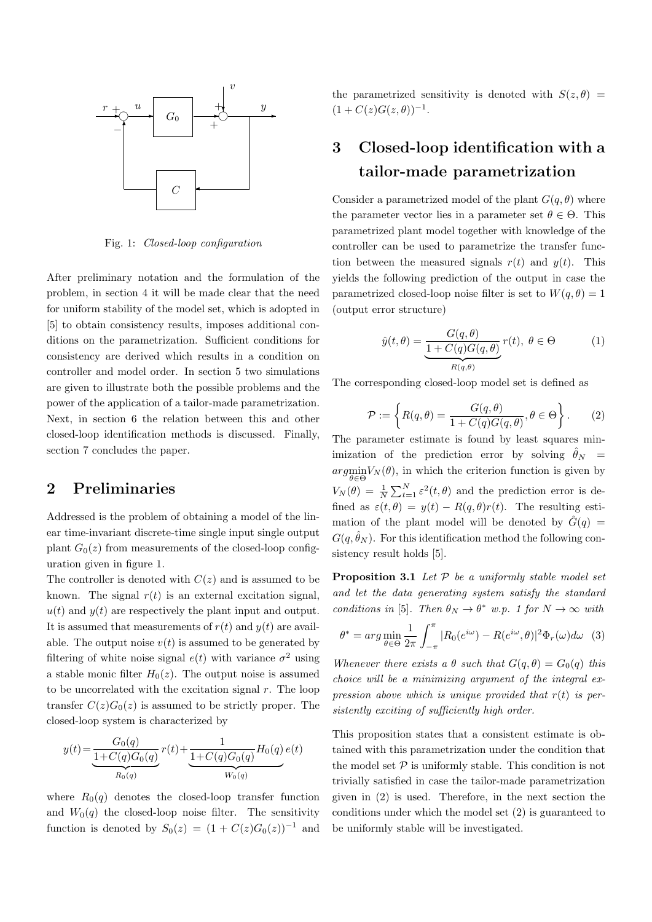

Fig. 1: *Closed-loop configuration*

After preliminary notation and the formulation of the problem, in section 4 it will be made clear that the need for uniform stability of the model set, which is adopted in [5] to obtain consistency results, imposes additional conditions on the parametrization. Sufficient conditions for consistency are derived which results in a condition on controller and model order. In section 5 two simulations are given to illustrate both the possible problems and the power of the application of a tailor-made parametrization. Next, in section 6 the relation between this and other closed-loop identification methods is discussed. Finally, section 7 concludes the paper.

### **2 Preliminaries**

Addressed is the problem of obtaining a model of the linear time-invariant discrete-time single input single output plant  $G_0(z)$  from measurements of the closed-loop configuration given in figure 1.

The controller is denoted with  $C(z)$  and is assumed to be known. The signal  $r(t)$  is an external excitation signal,  $u(t)$  and  $y(t)$  are respectively the plant input and output. It is assumed that measurements of  $r(t)$  and  $y(t)$  are available. The output noise  $v(t)$  is assumed to be generated by filtering of white noise signal  $e(t)$  with variance  $\sigma^2$  using a stable monic filter  $H_0(z)$ . The output noise is assumed to be uncorrelated with the excitation signal  $r$ . The loop transfer  $C(z)G_0(z)$  is assumed to be strictly proper. The closed-loop system is characterized by

$$
y(t) = \underbrace{\frac{G_0(q)}{1 + C(q)G_0(q)}}_{R_0(q)} r(t) + \underbrace{\frac{1}{1 + C(q)G_0(q)}}_{W_0(q)} H_0(q) e(t)
$$

where  $R_0(q)$  denotes the closed-loop transfer function and  $W_0(q)$  the closed-loop noise filter. The sensitivity function is denoted by  $S_0(z) = (1 + C(z)G_0(z))^{-1}$  and the parametrized sensitivity is denoted with  $S(z, \theta)$  =  $(1 + C(z)G(z, \theta))^{-1}$ .

## **3 Closed-loop identification with a tailor-made parametrization**

Consider a parametrized model of the plant  $G(q, \theta)$  where the parameter vector lies in a parameter set  $\theta \in \Theta$ . This parametrized plant model together with knowledge of the controller can be used to parametrize the transfer function between the measured signals  $r(t)$  and  $y(t)$ . This yields the following prediction of the output in case the parametrized closed-loop noise filter is set to  $W(q, \theta) = 1$ (output error structure)

$$
\hat{y}(t,\theta) = \underbrace{\frac{G(q,\theta)}{1 + C(q)G(q,\theta)}}_{R(q,\theta)} r(t), \ \theta \in \Theta \tag{1}
$$

The corresponding closed-loop model set is defined as

$$
\mathcal{P} := \left\{ R(q, \theta) = \frac{G(q, \theta)}{1 + C(q)G(q, \theta)}, \theta \in \Theta \right\}.
$$
 (2)

The parameter estimate is found by least squares minimization of the prediction error by solving  $\hat{\theta}_N$  = argmin  $\min_{\theta \in \Theta} V_N(\theta)$ , in which the criterion function is given by  $V_N(\theta) = \frac{1}{N} \sum_{t=1}^N \varepsilon^2(t,\theta)$  and the prediction error is defined as  $\varepsilon(t, \theta) = y(t) - R(q, \theta)r(t)$ . The resulting estimation of the plant model will be denoted by  $\hat{G}(q)$  =  $G(q, \hat{\theta}_N)$ . For this identification method the following consistency result holds [5].

**Proposition 3.1** *Let* P *be a uniformly stable model set and let the data generating system satisfy the standard conditions in* [5]*. Then*  $\theta_N \to \theta^*$  *w.p.* 1 for  $N \to \infty$  *with* 

$$
\theta^* = \arg\min_{\theta \in \Theta} \frac{1}{2\pi} \int_{-\pi}^{\pi} |R_0(e^{i\omega}) - R(e^{i\omega}, \theta)|^2 \Phi_r(\omega) d\omega \quad (3)
$$

*Whenever there exists a*  $\theta$  *such that*  $G(q, \theta) = G_0(q)$  *this choice will be a minimizing argument of the integral expression above which is unique provided that* r(t) *is persistently exciting of sufficiently high order.*

This proposition states that a consistent estimate is obtained with this parametrization under the condition that the model set  $P$  is uniformly stable. This condition is not trivially satisfied in case the tailor-made parametrization given in (2) is used. Therefore, in the next section the conditions under which the model set (2) is guaranteed to be uniformly stable will be investigated.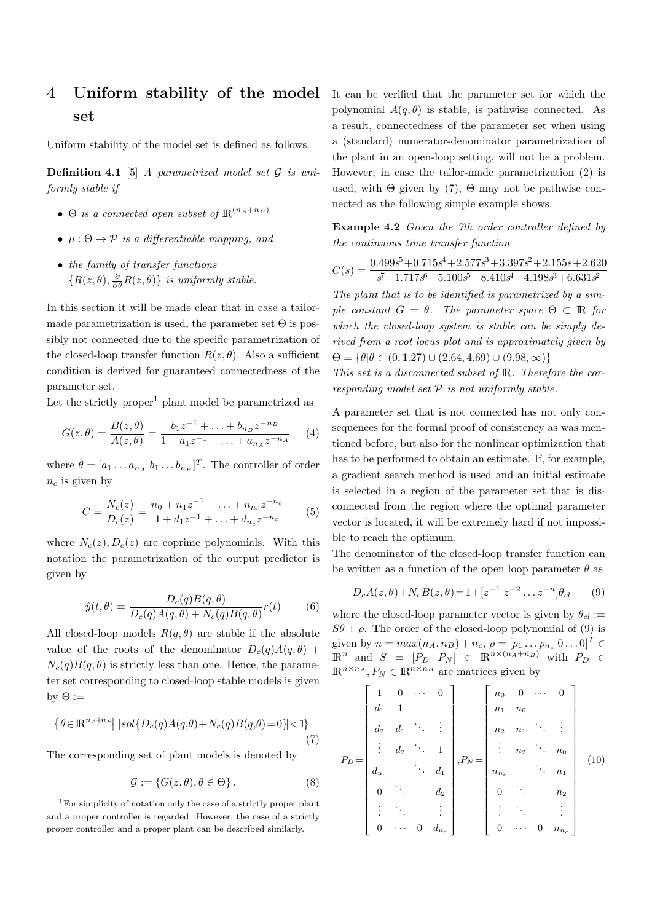## **4 Uniform stability of the model set**

Uniform stability of the model set is defined as follows.

**Definition 4.1** [5] *A parametrized model set* G *is uniformly stable if*

- $\Theta$  *is a connected open subset of*  $\mathbb{R}^{(n_A+n_B)}$
- $\bullet \mu : \Theta \to \mathcal{P}$  *is a differentiable mapping, and*
- *the family of transfer functions*  ${R(z, \theta), \frac{\partial}{\partial \theta}R(z, \theta)}$  *is uniformly stable.*

In this section it will be made clear that in case a tailormade parametrization is used, the parameter set  $\Theta$  is possibly not connected due to the specific parametrization of the closed-loop transfer function  $R(z, \theta)$ . Also a sufficient condition is derived for guaranteed connectedness of the parameter set.

Let the strictly proper<sup>1</sup> plant model be parametrized as

$$
G(z,\theta) = \frac{B(z,\theta)}{A(z,\theta)} = \frac{b_1 z^{-1} + \ldots + b_{n_B} z^{-n_B}}{1 + a_1 z^{-1} + \ldots + a_{n_A} z^{-n_A}} \tag{4}
$$

where  $\theta = [a_1 \dots a_{n_A} b_1 \dots b_{n_B}]^T$ . The controller of order  $n_c$  is given by

$$
C = \frac{N_c(z)}{D_c(z)} = \frac{n_0 + n_1 z^{-1} + \dots + n_{n_c} z^{-n_c}}{1 + d_1 z^{-1} + \dots + d_{n_c} z^{-n_c}} \tag{5}
$$

where  $N_c(z)$ ,  $D_c(z)$  are coprime polynomials. With this notation the parametrization of the output predictor is given by

$$
\hat{y}(t,\theta) = \frac{D_c(q)B(q,\theta)}{D_c(q)A(q,\theta) + N_c(q)B(q,\theta)}r(t) \tag{6}
$$

All closed-loop models  $R(q, \theta)$  are stable if the absolute value of the roots of the denominator  $D_c(q)A(q, \theta)$  +  $N_c(q)B(q, \theta)$  is strictly less than one. Hence, the parameter set corresponding to closed-loop stable models is given by  $\Theta :=$ 

$$
\left\{ \theta \in \mathbb{R}^{n_A + n_B} \middle| \ |sol\{D_c(q)A(q, \theta) + N_c(q)B(q, \theta) = 0\} \right| < 1\right\} \tag{7}
$$

The corresponding set of plant models is denoted by

$$
\mathcal{G} := \{ G(z, \theta), \theta \in \Theta \}.
$$
 (8)

It can be verified that the parameter set for which the polynomial  $A(q, \theta)$  is stable, is pathwise connected. As a result, connectedness of the parameter set when using a (standard) numerator-denominator parametrization of the plant in an open-loop setting, will not be a problem. However, in case the tailor-made parametrization (2) is used, with  $\Theta$  given by (7),  $\Theta$  may not be pathwise connected as the following simple example shows.

**Example 4.2** *Given the 7th order controller defined by the continuous time transfer function*

$$
C(s) = \frac{0.499s^5 + 0.715s^4 + 2.577s^3 + 3.397s^2 + 2.155s + 2.620}{s^7 + 1.717s^6 + 5.100s^5 + 8.410s^4 + 4.198s^3 + 6.631s^2}
$$

*The plant that is to be identified is parametrized by a simple constant*  $G = \theta$ *. The parameter space*  $\Theta \subset \mathbb{R}$  *for which the closed-loop system is stable can be simply derived from a root locus plot and is approximately given by*  $\Theta = \{\theta | \theta \in (0, 1.27) \cup (2.64, 4.69) \cup (9.98, \infty)\}\$ 

*This set is a disconnected subset of* IR*. Therefore the corresponding model set* P *is not uniformly stable.*

A parameter set that is not connected has not only consequences for the formal proof of consistency as was mentioned before, but also for the nonlinear optimization that has to be performed to obtain an estimate. If, for example, a gradient search method is used and an initial estimate is selected in a region of the parameter set that is disconnected from the region where the optimal parameter vector is located, it will be extremely hard if not impossible to reach the optimum.

The denominator of the closed-loop transfer function can be written as a function of the open loop parameter  $\theta$  as

$$
D_c A(z, \theta) + N_c B(z, \theta) = 1 + [z^{-1} \ z^{-2} \dots z^{-n}] \theta_{cl} \qquad (9)
$$

where the closed-loop parameter vector is given by  $\theta_{cl}$  :=  $S\theta + \rho$ . The order of the closed-loop polynomial of (9) is given by  $n = max(n_A, n_B) + n_c$ ,  $\rho = [p_1 ... p_{n_c} \ 0 ... 0]^T \in$  $\mathbb{R}^n$  and  $S = [P_D \quad P_N] \in \mathbb{R}^{n \times (n_A + n_B)}$  with  $P_D \in$  $\mathbb{R}^{n \times n_A}, P_N \in \mathbb{R}^{n \times n_B}$  are matrices given by

$$
P_D = \begin{bmatrix} 1 & 0 & \cdots & 0 \\ d_1 & 1 & & & \\ d_2 & d_1 & \ddots & \vdots \\ \vdots & d_2 & \ddots & 1 \\ d_{n_c} & & \ddots & d_1 \\ 0 & \ddots & & d_2 \\ \vdots & \ddots & & \vdots \\ 0 & \cdots & 0 & d_{n_c} \end{bmatrix}, P_N = \begin{bmatrix} n_0 & 0 & \cdots & 0 \\ n_1 & n_0 & & & \\ \vdots & n_2 & \ddots & n_0 \\ \vdots & & \ddots & \vdots \\ n_n & & \ddots & n_1 \\ 0 & & & n_2 \\ \vdots & & & \vdots \\ 0 & \cdots & 0 & n_n \end{bmatrix}
$$
(10)

<sup>1</sup>For simplicity of notation only the case of a strictly proper plant and a proper controller is regarded. However, the case of a strictly proper controller and a proper plant can be described similarly.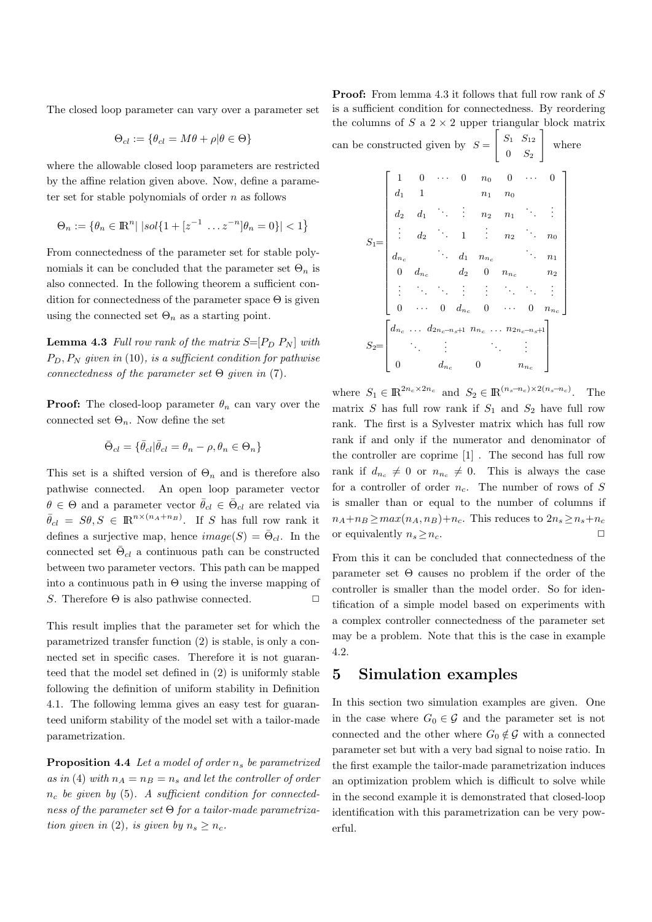The closed loop parameter can vary over a parameter set

$$
\Theta_{cl} := \{ \theta_{cl} = M\theta + \rho | \theta \in \Theta \}
$$

where the allowable closed loop parameters are restricted by the affine relation given above. Now, define a parameter set for stable polynomials of order  $n$  as follows

$$
\Theta_n := \{ \theta_n \in \rm I\!R^n | |sol\{1 + [z^{-1} \dots z^{-n}]\theta_n = 0\}| < 1 \}
$$

From connectedness of the parameter set for stable polynomials it can be concluded that the parameter set  $\Theta_n$  is also connected. In the following theorem a sufficient condition for connectedness of the parameter space  $\Theta$  is given using the connected set  $\Theta_n$  as a starting point.

**Lemma 4.3** *Full row rank of the matrix*  $S=[P_D P_N]$  *with* PD, P<sup>N</sup> *given in* (10)*, is a sufficient condition for pathwise connectedness of the parameter set* Θ *given in* (7)*.*

**Proof:** The closed-loop parameter  $\theta_n$  can vary over the connected set  $\Theta_n$ . Now define the set

$$
\bar{\Theta}_{cl}=\{\bar{\theta}_{cl}|\bar{\theta}_{cl}=\theta_n-\rho,\theta_n\in\Theta_n\}
$$

This set is a shifted version of  $\Theta_n$  and is therefore also pathwise connected. An open loop parameter vector  $\theta \in \Theta$  and a parameter vector  $\bar{\theta}_{cl} \in \bar{\Theta}_{cl}$  are related via  $\bar{\theta}_{cl} = S\theta, S \in \mathbb{R}^{n \times (n_A + n_B)}$ . If S has full row rank it defines a surjective map, hence  $image(S) = \bar{\Theta}_{cl}$ . In the connected set  $\bar{\Theta}_{cl}$  a continuous path can be constructed between two parameter vectors. This path can be mapped into a continuous path in  $\Theta$  using the inverse mapping of S. Therefore  $\Theta$  is also pathwise connected.  $\square$ 

This result implies that the parameter set for which the parametrized transfer function (2) is stable, is only a connected set in specific cases. Therefore it is not guaranteed that the model set defined in (2) is uniformly stable following the definition of uniform stability in Definition 4.1. The following lemma gives an easy test for guaranteed uniform stability of the model set with a tailor-made parametrization.

**Proposition 4.4** *Let a model of order*  $n_s$  *be parametrized* as in (4) with  $n_A = n_B = n_s$  and let the controller of order n<sup>c</sup> *be given by* (5)*. A sufficient condition for connectedness of the parameter set* Θ *for a tailor-made parametrization given in* (2), *is given by*  $n_s \geq n_c$ .

**Proof:** From lemma 4.3 it follows that full row rank of S is a sufficient condition for connectedness. By reordering the columns of  $S$  a  $2 \times 2$  upper triangular block matrix

| can be constructed given by $S = \begin{bmatrix} S_1 & S_{12} \\ 0 & S_2 \end{bmatrix}$ where                                                                                                                                                                                                                                                                                                                                 |                                                                                                                                                                                                                           |  |  |  |  |  |  |  |
|-------------------------------------------------------------------------------------------------------------------------------------------------------------------------------------------------------------------------------------------------------------------------------------------------------------------------------------------------------------------------------------------------------------------------------|---------------------------------------------------------------------------------------------------------------------------------------------------------------------------------------------------------------------------|--|--|--|--|--|--|--|
| $S_1\!\!=\!\!\left[\begin{array}{ccccc} 1 & 0 & \cdots & 0 & n_0 & 0 & \cdots & 0 \\ d_1 & 1 & & n_1 & n_0 & & \\ d_2 & d_1 & \ddots & \vdots & n_2 & n_1 & \ddots & \vdots \\ \vdots & d_2 & \ddots & 1 & \vdots & n_2 & \ddots & n_0 \\ d_{n_c} & & \ddots & d_1 & n_{n_c} & & \ddots & n_1 \\ 0 & d_{n_c} & & d_2 & 0 & n_{n_c} & n_2 \\ \vdots & \ddots & \ddots & \vdots & \vdots & \ddots & \ddots & \vdots \\ 0 & \cd$ |                                                                                                                                                                                                                           |  |  |  |  |  |  |  |
|                                                                                                                                                                                                                                                                                                                                                                                                                               |                                                                                                                                                                                                                           |  |  |  |  |  |  |  |
|                                                                                                                                                                                                                                                                                                                                                                                                                               |                                                                                                                                                                                                                           |  |  |  |  |  |  |  |
|                                                                                                                                                                                                                                                                                                                                                                                                                               |                                                                                                                                                                                                                           |  |  |  |  |  |  |  |
|                                                                                                                                                                                                                                                                                                                                                                                                                               |                                                                                                                                                                                                                           |  |  |  |  |  |  |  |
|                                                                                                                                                                                                                                                                                                                                                                                                                               |                                                                                                                                                                                                                           |  |  |  |  |  |  |  |
|                                                                                                                                                                                                                                                                                                                                                                                                                               |                                                                                                                                                                                                                           |  |  |  |  |  |  |  |
|                                                                                                                                                                                                                                                                                                                                                                                                                               |                                                                                                                                                                                                                           |  |  |  |  |  |  |  |
|                                                                                                                                                                                                                                                                                                                                                                                                                               | $S_2\!\!=\!\!\left[\begin{array}{cccc} d_{n_c} \ \ldots \ d_{2n_c-n_s\!+\!1} \ n_{n_c} \ \ldots \ n_{2n_c-n_s\!+\!1} \\ \vdots \ \vdots \ \vdots \ \ddots \ \vdots \\ 0 \ \ d_{n_c} \ \ 0 \ \ n_{n_c} \end{array}\right]$ |  |  |  |  |  |  |  |
|                                                                                                                                                                                                                                                                                                                                                                                                                               |                                                                                                                                                                                                                           |  |  |  |  |  |  |  |
|                                                                                                                                                                                                                                                                                                                                                                                                                               |                                                                                                                                                                                                                           |  |  |  |  |  |  |  |

where  $S_1 \in \mathbb{R}^{2n_c \times 2n_c}$  and  $S_2 \in \mathbb{R}^{(n_s - n_c) \times 2(n_s - n_c)}$ . The matrix  $S$  has full row rank if  $S_1$  and  $S_2$  have full row rank. The first is a Sylvester matrix which has full row rank if and only if the numerator and denominator of the controller are coprime [1] . The second has full row rank if  $d_{n_c} \neq 0$  or  $n_{n_c} \neq 0$ . This is always the case for a controller of order  $n_c$ . The number of rows of S is smaller than or equal to the number of columns if  $n_A+n_B \geq max(n_A, n_B)+n_c$ . This reduces to  $2n_s \geq n_s+n_c$ or equivalently  $n_s \geq n_c$ .

From this it can be concluded that connectedness of the parameter set  $\Theta$  causes no problem if the order of the controller is smaller than the model order. So for identification of a simple model based on experiments with a complex controller connectedness of the parameter set may be a problem. Note that this is the case in example 4.2.

#### **5 Simulation examples**

In this section two simulation examples are given. One in the case where  $G_0 \in \mathcal{G}$  and the parameter set is not connected and the other where  $G_0 \notin \mathcal{G}$  with a connected parameter set but with a very bad signal to noise ratio. In the first example the tailor-made parametrization induces an optimization problem which is difficult to solve while in the second example it is demonstrated that closed-loop identification with this parametrization can be very powerful.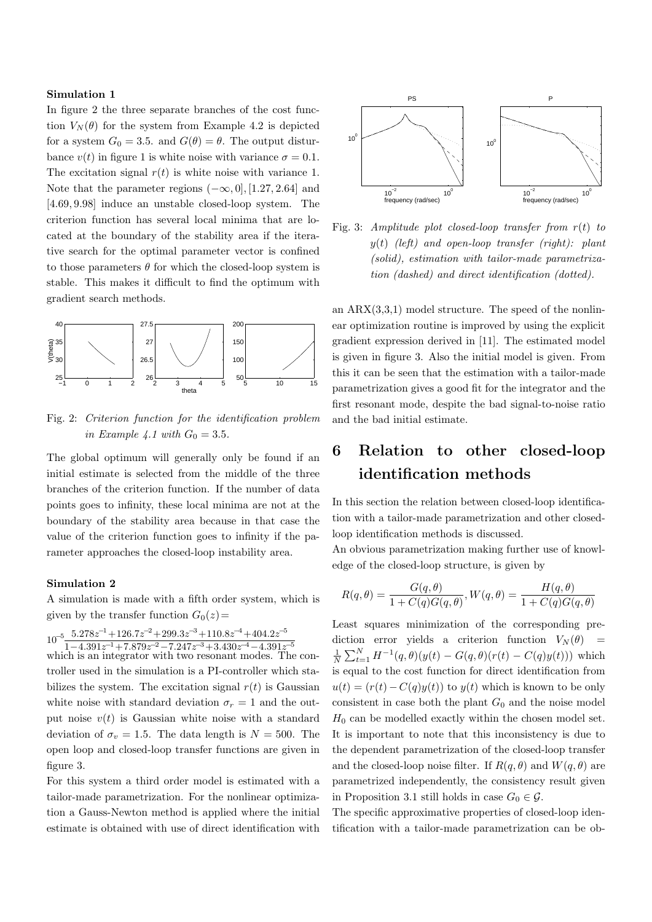#### **Simulation 1**

In figure 2 the three separate branches of the cost function  $V_N(\theta)$  for the system from Example 4.2 is depicted for a system  $G_0 = 3.5$ . and  $G(\theta) = \theta$ . The output disturbance  $v(t)$  in figure 1 is white noise with variance  $\sigma = 0.1$ . The excitation signal  $r(t)$  is white noise with variance 1. Note that the parameter regions  $(-\infty, 0]$ , [1.27, 2.64] and [4.69, 9.98] induce an unstable closed-loop system. The criterion function has several local minima that are located at the boundary of the stability area if the iterative search for the optimal parameter vector is confined to those parameters  $\theta$  for which the closed-loop system is stable. This makes it difficult to find the optimum with gradient search methods.



Fig. 2: *Criterion function for the identification problem in Example 4.1 with*  $G_0 = 3.5$ *.* 

The global optimum will generally only be found if an initial estimate is selected from the middle of the three branches of the criterion function. If the number of data points goes to infinity, these local minima are not at the boundary of the stability area because in that case the value of the criterion function goes to infinity if the parameter approaches the closed-loop instability area.

#### **Simulation 2**

A simulation is made with a fifth order system, which is given by the transfer function  $G_0(z)$ =

<sup>10</sup>*<sup>−</sup>*<sup>5</sup> <sup>5</sup>*.*278*<sup>z</sup> <sup>−</sup>*<sup>1</sup>+126*.*7*z <sup>−</sup>*<sup>2</sup>+299*.*3*z <sup>−</sup>*<sup>3</sup>+110*.*8*z <sup>−</sup>*<sup>4</sup>+404*.*2*z −*5

 $\frac{10}{1-4.391z^{-1}+7.879z^{-2}-7.247z^{-3}+3.430z^{-4}-4.391z^{-5}}$ <br>which is an integrator with two resonant modes. The controller used in the simulation is a PI-controller which stabilizes the system. The excitation signal  $r(t)$  is Gaussian white noise with standard deviation  $\sigma_r = 1$  and the output noise  $v(t)$  is Gaussian white noise with a standard deviation of  $\sigma_v = 1.5$ . The data length is  $N = 500$ . The open loop and closed-loop transfer functions are given in figure 3.

For this system a third order model is estimated with a tailor-made parametrization. For the nonlinear optimization a Gauss-Newton method is applied where the initial estimate is obtained with use of direct identification with



Fig. 3: *Amplitude plot closed-loop transfer from* r(t) *to* y(t) *(left) and open-loop transfer (right): plant (solid), estimation with tailor-made parametrization (dashed) and direct identification (dotted).*

an  $ARX(3,3,1)$  model structure. The speed of the nonlinear optimization routine is improved by using the explicit gradient expression derived in [11]. The estimated model is given in figure 3. Also the initial model is given. From this it can be seen that the estimation with a tailor-made parametrization gives a good fit for the integrator and the first resonant mode, despite the bad signal-to-noise ratio and the bad initial estimate.

## **6 Relation to other closed-loop identification methods**

In this section the relation between closed-loop identification with a tailor-made parametrization and other closedloop identification methods is discussed.

An obvious parametrization making further use of knowledge of the closed-loop structure, is given by

$$
R(q, \theta) = \frac{G(q, \theta)}{1 + C(q)G(q, \theta)}, W(q, \theta) = \frac{H(q, \theta)}{1 + C(q)G(q, \theta)}
$$

Least squares minimization of the corresponding prediction error yields a criterion function  $V_N(\theta)$  =  $\frac{1}{N} \sum_{t=1}^{N} H^{-1}(q, \theta)(y(t) - G(q, \theta)(r(t) - C(q)y(t)))$  which is equal to the cost function for direct identification from  $u(t)=(r(t)-C(q)y(t))$  to  $y(t)$  which is known to be only consistent in case both the plant  $G_0$  and the noise model  $H_0$  can be modelled exactly within the chosen model set. It is important to note that this inconsistency is due to the dependent parametrization of the closed-loop transfer and the closed-loop noise filter. If  $R(q, \theta)$  and  $W(q, \theta)$  are parametrized independently, the consistency result given in Proposition 3.1 still holds in case  $G_0 \in \mathcal{G}$ .

The specific approximative properties of closed-loop identification with a tailor-made parametrization can be ob